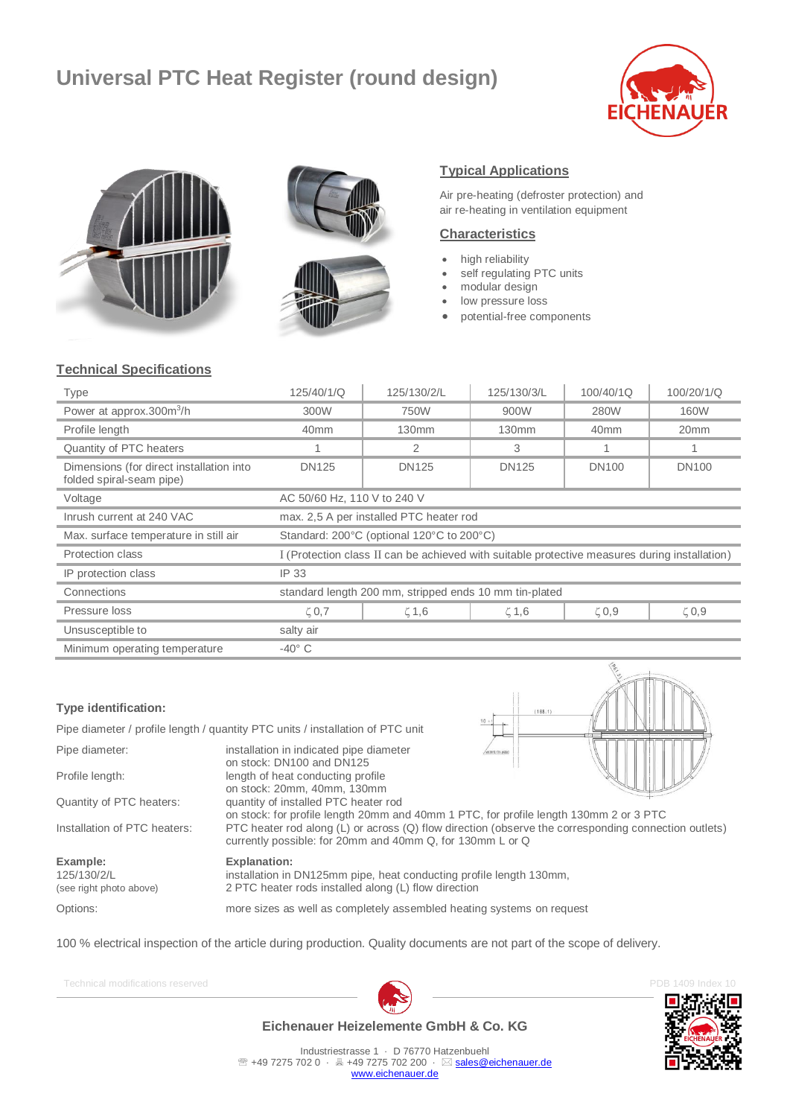# **Universal PTC Heat Register (round design)**







## **Typical Applications**

Air pre-heating (defroster protection) and air re-heating in ventilation equipment

### **Characteristics**

- high reliability
- self regulating PTC units
- modular design
- low pressure loss
- potential-free components

# **Technical Specifications**

| Type                                                                 | 125/40/1/Q                                                                                    | 125/130/2/L  | 125/130/3/L | 100/40/1Q        | 100/20/1/Q       |
|----------------------------------------------------------------------|-----------------------------------------------------------------------------------------------|--------------|-------------|------------------|------------------|
| Power at approx.300m <sup>3</sup> /h                                 | 300W                                                                                          | 750W         | 900W        | 280W             | 160W             |
| Profile length                                                       | 40 <sub>mm</sub>                                                                              | 130mm        | 130mm       | 40 <sub>mm</sub> | 20 <sub>mm</sub> |
| Quantity of PTC heaters                                              |                                                                                               | 2            | 3           | 1                |                  |
| Dimensions (for direct installation into<br>folded spiral-seam pipe) | DN125                                                                                         | <b>DN125</b> | DN125       | <b>DN100</b>     | <b>DN100</b>     |
| Voltage                                                              | AC 50/60 Hz, 110 V to 240 V                                                                   |              |             |                  |                  |
| Inrush current at 240 VAC                                            | max. 2,5 A per installed PTC heater rod                                                       |              |             |                  |                  |
| Max. surface temperature in still air                                | Standard: 200°C (optional 120°C to 200°C)                                                     |              |             |                  |                  |
| <b>Protection class</b>                                              | I (Protection class II can be achieved with suitable protective measures during installation) |              |             |                  |                  |
| IP protection class                                                  | IP 33                                                                                         |              |             |                  |                  |
| Connections                                                          | standard length 200 mm, stripped ends 10 mm tin-plated                                        |              |             |                  |                  |
| Pressure loss                                                        | $\zeta$ 0,7                                                                                   | $\zeta$ 1,6  | $\zeta$ 1,6 | $\zeta$ 0,9      | $\zeta$ 0,9      |
| Unsusceptible to                                                     | salty air                                                                                     |              |             |                  |                  |
| Minimum operating temperature                                        | $-40^\circ$ C                                                                                 |              |             |                  |                  |

#### **Type identification:**

Pipe diameter / profile length / quantity PTC units / installation of PTC unit

Pipe diameter: installation in indicated pipe diameter on stock: DN100 and DN125 Profile length: length of heat conducting profile on stock: 20mm, 40mm, 130mm Quantity of PTC heaters: quantity of installed PTC heater rod



on stock: for profile length 20mm and 40mm 1 PTC, for profile length 130mm 2 or 3 PTC Installation of PTC heaters: PTC heater rod along (L) or across (Q) flow direction (observe the corresponding connection outlets) currently possible: for 20mm and 40mm Q, for 130mm L or Q

**Example: Explanation:**

125/130/2/L installation in DN125mm pipe, heat conducting profile length 130mm, (see right photo above) 2 PTC heater rods installed along (L) flow direction

Options: more sizes as well as completely assembled heating systems on request

100 % electrical inspection of the article during production. Quality documents are not part of the scope of delivery.







**Eichenauer Heizelemente GmbH & Co. KG**

Industriestrasse 1 · D 76770 Hatzenbuehl <sup>2</sup> +49 7275 702 0 · A +49 7275 702 200 · ⊠ [sales@eichenauer.de](mailto:sales@eichenauer.de) [www.eichenauer.de](http://www.eichenauer.de/)